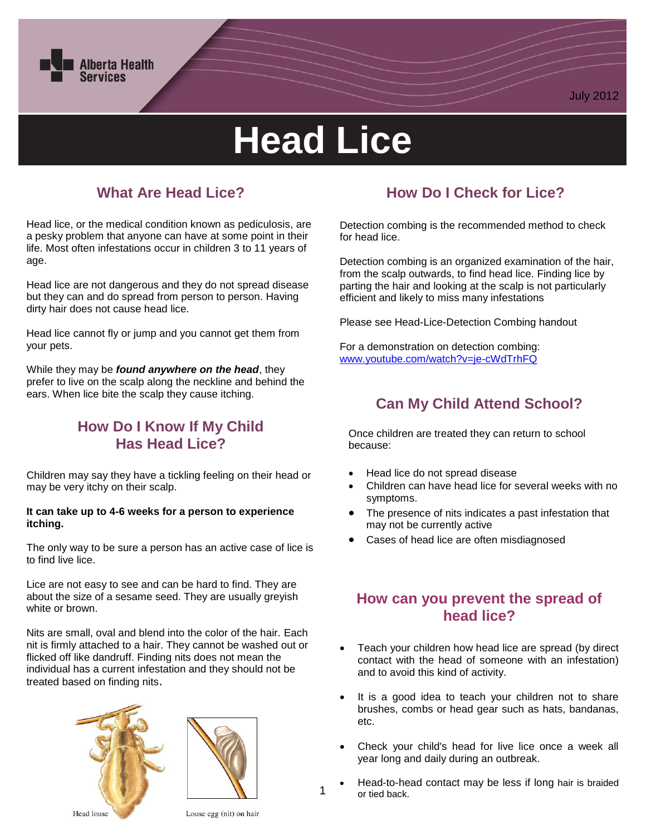

# **Head Lice**

## **What Are Head Lice?**

Head lice, or the medical condition known as pediculosis, are a pesky problem that anyone can have at some point in their life. Most often infestations occur in children 3 to 11 years of age.

Head lice are not dangerous and they do not spread disease but they can and do spread from person to person. Having dirty hair does not cause head lice.

Head lice cannot fly or jump and you cannot get them from your pets.

While they may be *found anywhere on the head*, they prefer to live on the scalp along the neckline and behind the ears. When lice bite the scalp they cause itching.

## **How Do I Know If My Child Has Head Lice?**

Children may say they have a tickling feeling on their head or may be very itchy on their scalp.

#### **It can take up to 4-6 weeks for a person to experience itching.**

The only way to be sure a person has an active case of lice is to find live lice.

Lice are not easy to see and can be hard to find. They are about the size of a sesame seed. They are usually greyish white or brown.

Nits are small, oval and blend into the color of the hair. Each nit is firmly attached to a hair. They cannot be washed out or flicked off like dandruff. Finding nits does not mean the individual has a current infestation and they should not be treated based on finding nits.





## **How Do I Check for Lice?**

July 2012

Detection combing is the recommended method to check for head lice.

Detection combing is an organized examination of the hair, from the scalp outwards, to find head lice. Finding lice by parting the hair and looking at the scalp is not particularly efficient and likely to miss many infestations

Please see Head-Lice-Detection Combing handout

For a demonstration on detection combing: [www.youtube.com/watch?v=je-cWdTrhFQ](http://www.youtube.com/watch?v=je-cWdTrhFQ)

## **Can My Child Attend School?**

Once children are treated they can return to school because:

- Head lice do not spread disease
- Children can have head lice for several weeks with no symptoms.
- The presence of nits indicates a past infestation that may not be currently active
- Cases of head lice are often misdiagnosed

### **How can you prevent the spread of head lice?**

- Teach your children how head lice are spread (by direct contact with the head of someone with an infestation) and to avoid this kind of activity.
- It is a good idea to teach your children not to share brushes, combs or head gear such as hats, bandanas, etc.
- Check your child's head for live lice once a week all year long and daily during an outbreak.
- Head-to-head contact may be less if long hair is braided or tied back.

Louse egg (nit) on hair

1